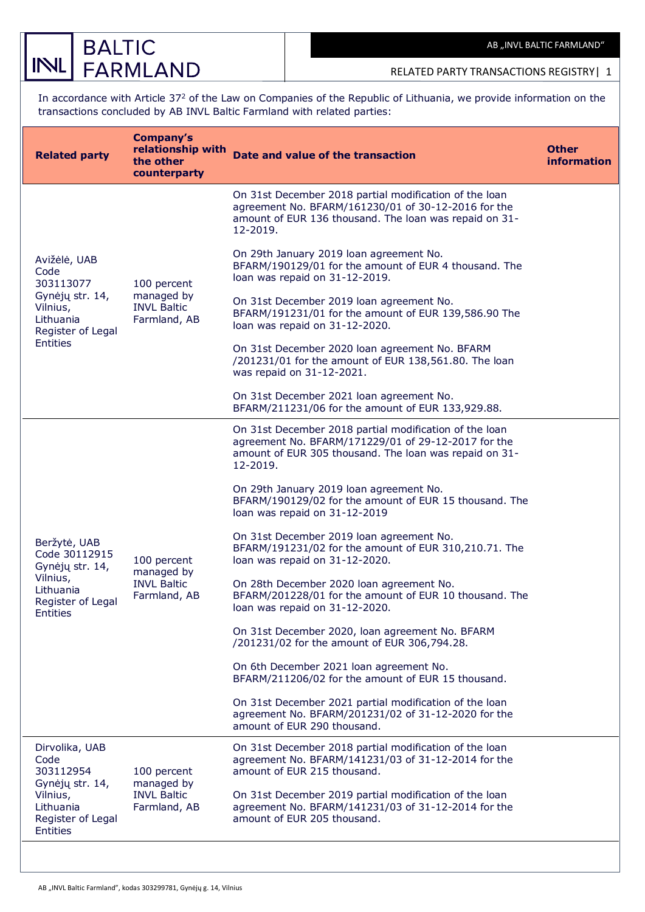AB "INVL BALTIC FARMLAND"



RELATED PARTY TRANSACTIONS REGISTRY| 1

In accordance with Article 37<sup>2</sup> of the Law on Companies of the Republic of Lithuania, we provide information on the transactions concluded by AB INVL Baltic Farmland with related parties:

| <b>Related party</b>                                                                                              | <b>Company's</b><br>relationship with<br>the other<br>counterparty | Date and value of the transaction                                                                                                                                                   | <b>Other</b><br>information |
|-------------------------------------------------------------------------------------------------------------------|--------------------------------------------------------------------|-------------------------------------------------------------------------------------------------------------------------------------------------------------------------------------|-----------------------------|
| Avižėlė, UAB<br>Code<br>303113077                                                                                 | 100 percent                                                        | On 31st December 2018 partial modification of the loan<br>agreement No. BFARM/161230/01 of 30-12-2016 for the<br>amount of EUR 136 thousand. The loan was repaid on 31-<br>12-2019. |                             |
|                                                                                                                   |                                                                    | On 29th January 2019 Ioan agreement No.<br>BFARM/190129/01 for the amount of EUR 4 thousand. The<br>loan was repaid on 31-12-2019.                                                  |                             |
| Gynėjų str. 14,<br>Vilnius,<br>Lithuania<br>Register of Legal                                                     | managed by<br><b>INVL Baltic</b><br>Farmland, AB                   | On 31st December 2019 Ioan agreement No.<br>BFARM/191231/01 for the amount of EUR 139,586.90 The<br>loan was repaid on 31-12-2020.                                                  |                             |
| Entities                                                                                                          |                                                                    | On 31st December 2020 Ioan agreement No. BFARM<br>/201231/01 for the amount of EUR 138,561.80. The loan<br>was repaid on 31-12-2021.                                                |                             |
|                                                                                                                   |                                                                    | On 31st December 2021 Ioan agreement No.<br>BFARM/211231/06 for the amount of EUR 133,929.88.                                                                                       |                             |
| Beržytė, UAB<br>Code 30112915<br>Gynėjų str. 14,<br>Vilnius,<br>Lithuania<br>Register of Legal<br><b>Entities</b> |                                                                    | On 31st December 2018 partial modification of the loan<br>agreement No. BFARM/171229/01 of 29-12-2017 for the<br>amount of EUR 305 thousand. The loan was repaid on 31-<br>12-2019. |                             |
|                                                                                                                   |                                                                    | On 29th January 2019 Ioan agreement No.<br>BFARM/190129/02 for the amount of EUR 15 thousand. The<br>loan was repaid on 31-12-2019                                                  |                             |
|                                                                                                                   | 100 percent                                                        | On 31st December 2019 Ioan agreement No.<br>BFARM/191231/02 for the amount of EUR 310,210.71. The<br>loan was repaid on 31-12-2020.                                                 |                             |
|                                                                                                                   | managed by<br><b>INVL Baltic</b><br>Farmland, AB                   | On 28th December 2020 Ioan agreement No.<br>BFARM/201228/01 for the amount of EUR 10 thousand. The<br>loan was repaid on 31-12-2020.                                                |                             |
|                                                                                                                   |                                                                    | On 31st December 2020, Ioan agreement No. BFARM<br>/201231/02 for the amount of EUR 306,794.28.                                                                                     |                             |
|                                                                                                                   |                                                                    | On 6th December 2021 Ioan agreement No.<br>BFARM/211206/02 for the amount of EUR 15 thousand.                                                                                       |                             |
|                                                                                                                   |                                                                    | On 31st December 2021 partial modification of the loan<br>agreement No. BFARM/201231/02 of 31-12-2020 for the<br>amount of EUR 290 thousand.                                        |                             |
| Dirvolika, UAB<br>Code<br>303112954<br>Gynėjų str. 14,<br>Vilnius,<br>Lithuania<br>Register of Legal<br>Entities  | 100 percent                                                        | On 31st December 2018 partial modification of the loan<br>agreement No. BFARM/141231/03 of 31-12-2014 for the<br>amount of EUR 215 thousand.                                        |                             |
|                                                                                                                   | managed by<br><b>INVL Baltic</b><br>Farmland, AB                   | On 31st December 2019 partial modification of the loan<br>agreement No. BFARM/141231/03 of 31-12-2014 for the<br>amount of EUR 205 thousand.                                        |                             |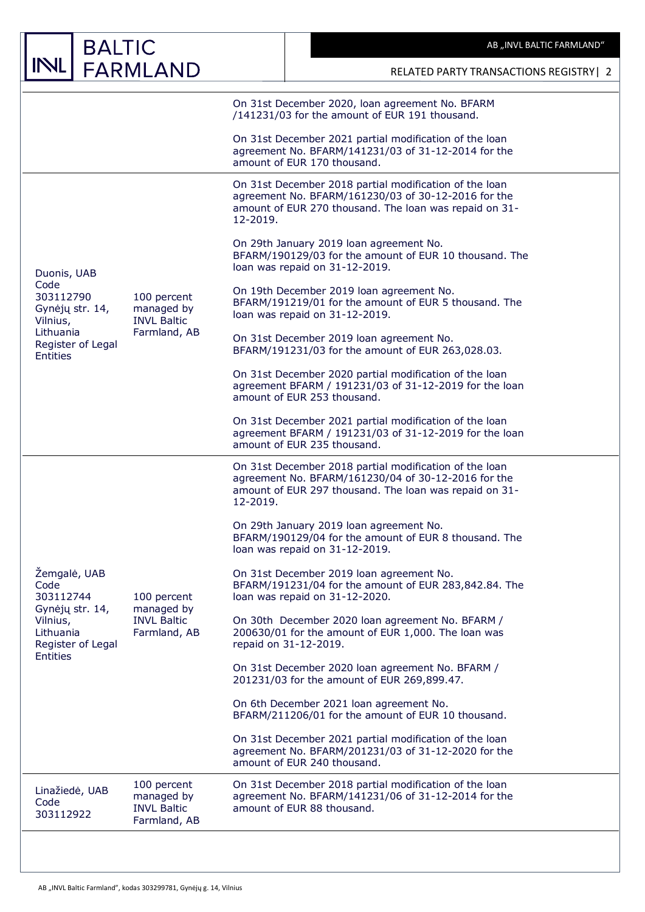|                                      | <b>BALTIC</b>                                                        |                                                                                                                                                                                                                                                   |                       |                                                                                                                                                                                                                   |                                                                                                                                                                                                                                                                              |  |  | AB "INVL BALTIC FARMLAND"               |
|--------------------------------------|----------------------------------------------------------------------|---------------------------------------------------------------------------------------------------------------------------------------------------------------------------------------------------------------------------------------------------|-----------------------|-------------------------------------------------------------------------------------------------------------------------------------------------------------------------------------------------------------------|------------------------------------------------------------------------------------------------------------------------------------------------------------------------------------------------------------------------------------------------------------------------------|--|--|-----------------------------------------|
|                                      |                                                                      | <b>FARMLAND</b>                                                                                                                                                                                                                                   |                       |                                                                                                                                                                                                                   |                                                                                                                                                                                                                                                                              |  |  | RELATED PARTY TRANSACTIONS REGISTRY   2 |
|                                      |                                                                      | On 31st December 2020, Ioan agreement No. BFARM<br>/141231/03 for the amount of EUR 191 thousand.<br>On 31st December 2021 partial modification of the loan<br>agreement No. BFARM/141231/03 of 31-12-2014 for the<br>amount of EUR 170 thousand. |                       |                                                                                                                                                                                                                   |                                                                                                                                                                                                                                                                              |  |  |                                         |
|                                      |                                                                      |                                                                                                                                                                                                                                                   | 12-2019.              |                                                                                                                                                                                                                   | On 31st December 2018 partial modification of the loan<br>agreement No. BFARM/161230/03 of 30-12-2016 for the<br>amount of EUR 270 thousand. The loan was repaid on 31-<br>On 29th January 2019 Ioan agreement No.<br>BFARM/190129/03 for the amount of EUR 10 thousand. The |  |  |                                         |
| Code<br>Vilnius,                     | Duonis, UAB<br>303112790<br>Gynėjų str. 14,<br>Lithuania             | 100 percent<br>managed by<br><b>INVL Baltic</b><br>Farmland, AB                                                                                                                                                                                   |                       | loan was repaid on 31-12-2019.<br>On 19th December 2019 Ioan agreement No.<br>BFARM/191219/01 for the amount of EUR 5 thousand. The<br>loan was repaid on 31-12-2019.<br>On 31st December 2019 Ioan agreement No. |                                                                                                                                                                                                                                                                              |  |  |                                         |
| Register of Legal<br><b>Entities</b> |                                                                      |                                                                                                                                                                                                                                                   |                       | BFARM/191231/03 for the amount of EUR 263,028.03.<br>On 31st December 2020 partial modification of the loan<br>agreement BFARM / 191231/03 of 31-12-2019 for the loan<br>amount of EUR 253 thousand.              |                                                                                                                                                                                                                                                                              |  |  |                                         |
|                                      |                                                                      |                                                                                                                                                                                                                                                   |                       | On 31st December 2021 partial modification of the loan<br>agreement BFARM / 191231/03 of 31-12-2019 for the loan<br>amount of EUR 235 thousand.                                                                   |                                                                                                                                                                                                                                                                              |  |  |                                         |
|                                      |                                                                      | 12-2019.                                                                                                                                                                                                                                          |                       | On 31st December 2018 partial modification of the loan<br>agreement No. BFARM/161230/04 of 30-12-2016 for the<br>amount of EUR 297 thousand. The loan was repaid on 31-                                           |                                                                                                                                                                                                                                                                              |  |  |                                         |
|                                      |                                                                      | 100 percent<br>managed by<br><b>INVL Baltic</b><br>Farmland, AB                                                                                                                                                                                   |                       |                                                                                                                                                                                                                   | On 29th January 2019 Ioan agreement No.<br>BFARM/190129/04 for the amount of EUR 8 thousand. The<br>loan was repaid on 31-12-2019.                                                                                                                                           |  |  |                                         |
| Žemgalė, UAB<br>Code<br>303112744    |                                                                      |                                                                                                                                                                                                                                                   |                       |                                                                                                                                                                                                                   | On 31st December 2019 Ioan agreement No.<br>BFARM/191231/04 for the amount of EUR 283,842.84. The<br>loan was repaid on 31-12-2020.                                                                                                                                          |  |  |                                         |
| Vilnius,                             | Gynėjų str. 14,<br>Lithuania<br>Register of Legal<br><b>Entities</b> |                                                                                                                                                                                                                                                   | repaid on 31-12-2019. |                                                                                                                                                                                                                   | On 30th December 2020 Ioan agreement No. BFARM /<br>200630/01 for the amount of EUR 1,000. The loan was                                                                                                                                                                      |  |  |                                         |
|                                      |                                                                      |                                                                                                                                                                                                                                                   |                       |                                                                                                                                                                                                                   | On 31st December 2020 Ioan agreement No. BFARM /<br>201231/03 for the amount of EUR 269,899.47.                                                                                                                                                                              |  |  |                                         |
|                                      |                                                                      |                                                                                                                                                                                                                                                   |                       | On 6th December 2021 Ioan agreement No.<br>BFARM/211206/01 for the amount of EUR 10 thousand.                                                                                                                     |                                                                                                                                                                                                                                                                              |  |  |                                         |
|                                      |                                                                      |                                                                                                                                                                                                                                                   |                       | On 31st December 2021 partial modification of the loan<br>agreement No. BFARM/201231/03 of 31-12-2020 for the<br>amount of EUR 240 thousand.                                                                      |                                                                                                                                                                                                                                                                              |  |  |                                         |
| Linažiedė, UAB<br>Code<br>303112922  |                                                                      | 100 percent<br>managed by<br><b>INVL Baltic</b><br>Farmland, AB                                                                                                                                                                                   |                       |                                                                                                                                                                                                                   | On 31st December 2018 partial modification of the loan<br>agreement No. BFARM/141231/06 of 31-12-2014 for the<br>amount of EUR 88 thousand.                                                                                                                                  |  |  |                                         |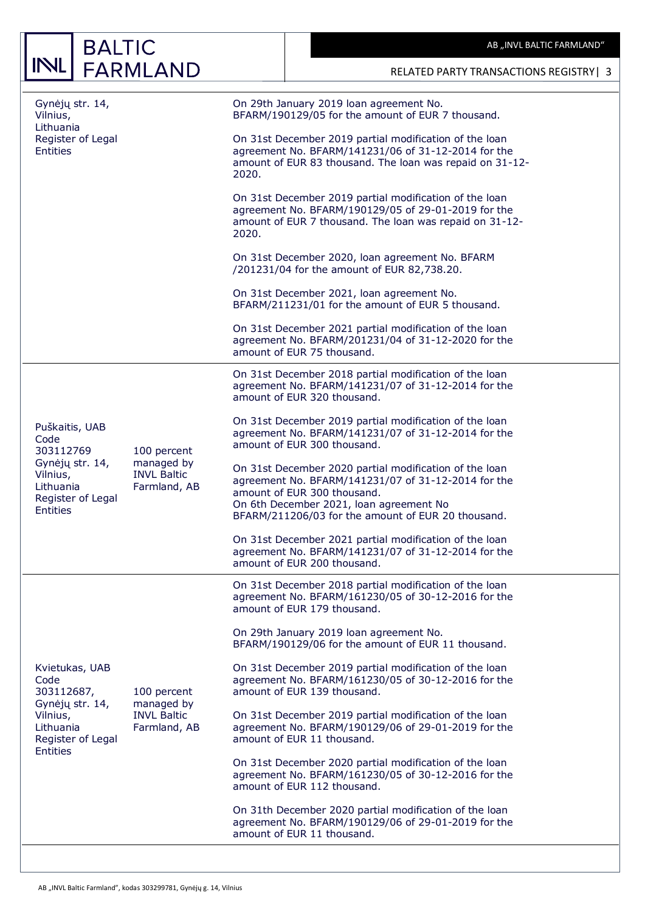| <b>FARMLAND</b><br>RELATED PARTY TRANSACTIONS REGISTRY   3<br>On 29th January 2019 Ioan agreement No.<br>Gynėjų str. 14,<br>BFARM/190129/05 for the amount of EUR 7 thousand.<br>Vilnius,<br>Lithuania<br>Register of Legal<br>On 31st December 2019 partial modification of the loan<br>agreement No. BFARM/141231/06 of 31-12-2014 for the<br>Entities<br>amount of EUR 83 thousand. The loan was repaid on 31-12-<br>2020.<br>On 31st December 2019 partial modification of the loan<br>agreement No. BFARM/190129/05 of 29-01-2019 for the<br>amount of EUR 7 thousand. The loan was repaid on 31-12-<br>2020.<br>On 31st December 2020, Ioan agreement No. BFARM<br>/201231/04 for the amount of EUR 82,738.20.<br>On 31st December 2021, Ioan agreement No.<br>BFARM/211231/01 for the amount of EUR 5 thousand.<br>On 31st December 2021 partial modification of the loan<br>agreement No. BFARM/201231/04 of 31-12-2020 for the<br>amount of EUR 75 thousand.<br>On 31st December 2018 partial modification of the loan<br>agreement No. BFARM/141231/07 of 31-12-2014 for the<br>amount of EUR 320 thousand.<br>On 31st December 2019 partial modification of the loan<br>Puškaitis, UAB<br>agreement No. BFARM/141231/07 of 31-12-2014 for the<br>Code<br>amount of EUR 300 thousand.<br>303112769<br>100 percent<br>managed by<br>Gynėjų str. 14,<br>On 31st December 2020 partial modification of the loan<br><b>INVL Baltic</b><br>Vilnius,<br>agreement No. BFARM/141231/07 of 31-12-2014 for the<br>Lithuania<br>Farmland, AB<br>amount of EUR 300 thousand.<br>Register of Legal<br>On 6th December 2021, Ioan agreement No<br>Entities<br>BFARM/211206/03 for the amount of EUR 20 thousand.<br>On 31st December 2021 partial modification of the loan<br>agreement No. BFARM/141231/07 of 31-12-2014 for the<br>amount of EUR 200 thousand.<br>On 31st December 2018 partial modification of the loan<br>agreement No. BFARM/161230/05 of 30-12-2016 for the<br>amount of EUR 179 thousand.<br>On 29th January 2019 Ioan agreement No.<br>BFARM/190129/06 for the amount of EUR 11 thousand.<br>On 31st December 2019 partial modification of the loan<br>Kvietukas, UAB<br>agreement No. BFARM/161230/05 of 30-12-2016 for the<br>Code<br>amount of EUR 139 thousand.<br>303112687,<br>100 percent<br>managed by<br>Gynėjų str. 14,<br><b>INVL Baltic</b><br>Vilnius,<br>On 31st December 2019 partial modification of the loan<br>Lithuania<br>agreement No. BFARM/190129/06 of 29-01-2019 for the<br>Farmland, AB<br>amount of EUR 11 thousand.<br>Register of Legal<br>Entities<br>On 31st December 2020 partial modification of the loan<br>agreement No. BFARM/161230/05 of 30-12-2016 for the<br>amount of EUR 112 thousand.<br>On 31th December 2020 partial modification of the loan<br>agreement No. BFARM/190129/06 of 29-01-2019 for the<br>amount of EUR 11 thousand. |     | <b>BALTIC</b> | AB "INVL BALTIC FARMLAND" |  |
|------------------------------------------------------------------------------------------------------------------------------------------------------------------------------------------------------------------------------------------------------------------------------------------------------------------------------------------------------------------------------------------------------------------------------------------------------------------------------------------------------------------------------------------------------------------------------------------------------------------------------------------------------------------------------------------------------------------------------------------------------------------------------------------------------------------------------------------------------------------------------------------------------------------------------------------------------------------------------------------------------------------------------------------------------------------------------------------------------------------------------------------------------------------------------------------------------------------------------------------------------------------------------------------------------------------------------------------------------------------------------------------------------------------------------------------------------------------------------------------------------------------------------------------------------------------------------------------------------------------------------------------------------------------------------------------------------------------------------------------------------------------------------------------------------------------------------------------------------------------------------------------------------------------------------------------------------------------------------------------------------------------------------------------------------------------------------------------------------------------------------------------------------------------------------------------------------------------------------------------------------------------------------------------------------------------------------------------------------------------------------------------------------------------------------------------------------------------------------------------------------------------------------------------------------------------------------------------------------------------------------------------------------------------------------------------------------------------------------------------------------------------------------------------------------------------------------------------------------------------------------------------------------|-----|---------------|---------------------------|--|
|                                                                                                                                                                                                                                                                                                                                                                                                                                                                                                                                                                                                                                                                                                                                                                                                                                                                                                                                                                                                                                                                                                                                                                                                                                                                                                                                                                                                                                                                                                                                                                                                                                                                                                                                                                                                                                                                                                                                                                                                                                                                                                                                                                                                                                                                                                                                                                                                                                                                                                                                                                                                                                                                                                                                                                                                                                                                                                      | INL |               |                           |  |
|                                                                                                                                                                                                                                                                                                                                                                                                                                                                                                                                                                                                                                                                                                                                                                                                                                                                                                                                                                                                                                                                                                                                                                                                                                                                                                                                                                                                                                                                                                                                                                                                                                                                                                                                                                                                                                                                                                                                                                                                                                                                                                                                                                                                                                                                                                                                                                                                                                                                                                                                                                                                                                                                                                                                                                                                                                                                                                      |     |               |                           |  |
|                                                                                                                                                                                                                                                                                                                                                                                                                                                                                                                                                                                                                                                                                                                                                                                                                                                                                                                                                                                                                                                                                                                                                                                                                                                                                                                                                                                                                                                                                                                                                                                                                                                                                                                                                                                                                                                                                                                                                                                                                                                                                                                                                                                                                                                                                                                                                                                                                                                                                                                                                                                                                                                                                                                                                                                                                                                                                                      |     |               |                           |  |
|                                                                                                                                                                                                                                                                                                                                                                                                                                                                                                                                                                                                                                                                                                                                                                                                                                                                                                                                                                                                                                                                                                                                                                                                                                                                                                                                                                                                                                                                                                                                                                                                                                                                                                                                                                                                                                                                                                                                                                                                                                                                                                                                                                                                                                                                                                                                                                                                                                                                                                                                                                                                                                                                                                                                                                                                                                                                                                      |     |               |                           |  |
|                                                                                                                                                                                                                                                                                                                                                                                                                                                                                                                                                                                                                                                                                                                                                                                                                                                                                                                                                                                                                                                                                                                                                                                                                                                                                                                                                                                                                                                                                                                                                                                                                                                                                                                                                                                                                                                                                                                                                                                                                                                                                                                                                                                                                                                                                                                                                                                                                                                                                                                                                                                                                                                                                                                                                                                                                                                                                                      |     |               |                           |  |
|                                                                                                                                                                                                                                                                                                                                                                                                                                                                                                                                                                                                                                                                                                                                                                                                                                                                                                                                                                                                                                                                                                                                                                                                                                                                                                                                                                                                                                                                                                                                                                                                                                                                                                                                                                                                                                                                                                                                                                                                                                                                                                                                                                                                                                                                                                                                                                                                                                                                                                                                                                                                                                                                                                                                                                                                                                                                                                      |     |               |                           |  |
|                                                                                                                                                                                                                                                                                                                                                                                                                                                                                                                                                                                                                                                                                                                                                                                                                                                                                                                                                                                                                                                                                                                                                                                                                                                                                                                                                                                                                                                                                                                                                                                                                                                                                                                                                                                                                                                                                                                                                                                                                                                                                                                                                                                                                                                                                                                                                                                                                                                                                                                                                                                                                                                                                                                                                                                                                                                                                                      |     |               |                           |  |
|                                                                                                                                                                                                                                                                                                                                                                                                                                                                                                                                                                                                                                                                                                                                                                                                                                                                                                                                                                                                                                                                                                                                                                                                                                                                                                                                                                                                                                                                                                                                                                                                                                                                                                                                                                                                                                                                                                                                                                                                                                                                                                                                                                                                                                                                                                                                                                                                                                                                                                                                                                                                                                                                                                                                                                                                                                                                                                      |     |               |                           |  |
|                                                                                                                                                                                                                                                                                                                                                                                                                                                                                                                                                                                                                                                                                                                                                                                                                                                                                                                                                                                                                                                                                                                                                                                                                                                                                                                                                                                                                                                                                                                                                                                                                                                                                                                                                                                                                                                                                                                                                                                                                                                                                                                                                                                                                                                                                                                                                                                                                                                                                                                                                                                                                                                                                                                                                                                                                                                                                                      |     |               |                           |  |
|                                                                                                                                                                                                                                                                                                                                                                                                                                                                                                                                                                                                                                                                                                                                                                                                                                                                                                                                                                                                                                                                                                                                                                                                                                                                                                                                                                                                                                                                                                                                                                                                                                                                                                                                                                                                                                                                                                                                                                                                                                                                                                                                                                                                                                                                                                                                                                                                                                                                                                                                                                                                                                                                                                                                                                                                                                                                                                      |     |               |                           |  |
|                                                                                                                                                                                                                                                                                                                                                                                                                                                                                                                                                                                                                                                                                                                                                                                                                                                                                                                                                                                                                                                                                                                                                                                                                                                                                                                                                                                                                                                                                                                                                                                                                                                                                                                                                                                                                                                                                                                                                                                                                                                                                                                                                                                                                                                                                                                                                                                                                                                                                                                                                                                                                                                                                                                                                                                                                                                                                                      |     |               |                           |  |
|                                                                                                                                                                                                                                                                                                                                                                                                                                                                                                                                                                                                                                                                                                                                                                                                                                                                                                                                                                                                                                                                                                                                                                                                                                                                                                                                                                                                                                                                                                                                                                                                                                                                                                                                                                                                                                                                                                                                                                                                                                                                                                                                                                                                                                                                                                                                                                                                                                                                                                                                                                                                                                                                                                                                                                                                                                                                                                      |     |               |                           |  |
|                                                                                                                                                                                                                                                                                                                                                                                                                                                                                                                                                                                                                                                                                                                                                                                                                                                                                                                                                                                                                                                                                                                                                                                                                                                                                                                                                                                                                                                                                                                                                                                                                                                                                                                                                                                                                                                                                                                                                                                                                                                                                                                                                                                                                                                                                                                                                                                                                                                                                                                                                                                                                                                                                                                                                                                                                                                                                                      |     |               |                           |  |
|                                                                                                                                                                                                                                                                                                                                                                                                                                                                                                                                                                                                                                                                                                                                                                                                                                                                                                                                                                                                                                                                                                                                                                                                                                                                                                                                                                                                                                                                                                                                                                                                                                                                                                                                                                                                                                                                                                                                                                                                                                                                                                                                                                                                                                                                                                                                                                                                                                                                                                                                                                                                                                                                                                                                                                                                                                                                                                      |     |               |                           |  |
|                                                                                                                                                                                                                                                                                                                                                                                                                                                                                                                                                                                                                                                                                                                                                                                                                                                                                                                                                                                                                                                                                                                                                                                                                                                                                                                                                                                                                                                                                                                                                                                                                                                                                                                                                                                                                                                                                                                                                                                                                                                                                                                                                                                                                                                                                                                                                                                                                                                                                                                                                                                                                                                                                                                                                                                                                                                                                                      |     |               |                           |  |
|                                                                                                                                                                                                                                                                                                                                                                                                                                                                                                                                                                                                                                                                                                                                                                                                                                                                                                                                                                                                                                                                                                                                                                                                                                                                                                                                                                                                                                                                                                                                                                                                                                                                                                                                                                                                                                                                                                                                                                                                                                                                                                                                                                                                                                                                                                                                                                                                                                                                                                                                                                                                                                                                                                                                                                                                                                                                                                      |     |               |                           |  |
|                                                                                                                                                                                                                                                                                                                                                                                                                                                                                                                                                                                                                                                                                                                                                                                                                                                                                                                                                                                                                                                                                                                                                                                                                                                                                                                                                                                                                                                                                                                                                                                                                                                                                                                                                                                                                                                                                                                                                                                                                                                                                                                                                                                                                                                                                                                                                                                                                                                                                                                                                                                                                                                                                                                                                                                                                                                                                                      |     |               |                           |  |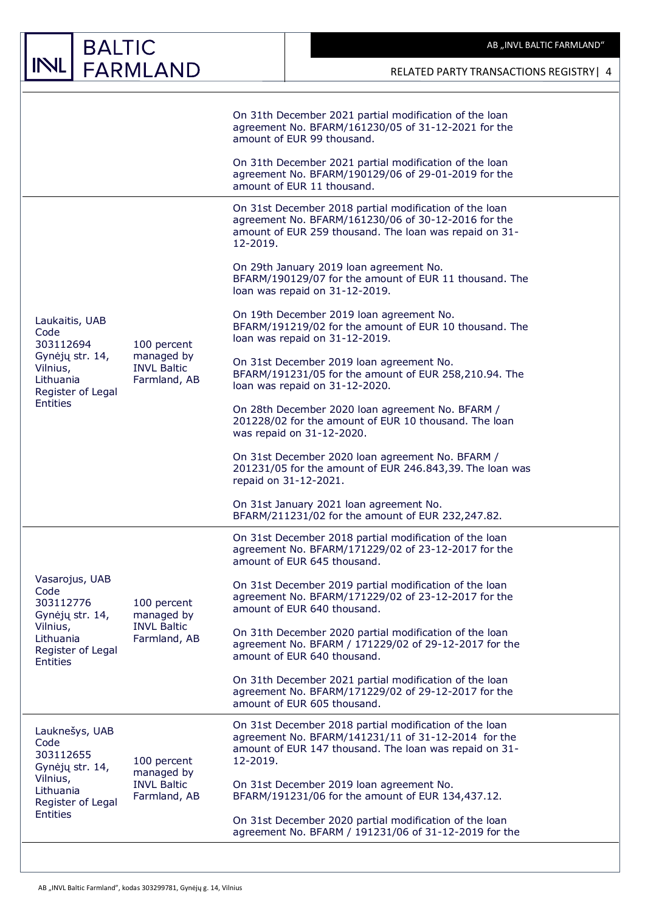| <b>FARMLAND</b><br>RELATED PARTY TRANSACTIONS REGISTRY   4<br>On 31th December 2021 partial modification of the loan<br>agreement No. BFARM/161230/05 of 31-12-2021 for the<br>amount of EUR 99 thousand.<br>On 31th December 2021 partial modification of the loan<br>agreement No. BFARM/190129/06 of 29-01-2019 for the<br>amount of EUR 11 thousand. |  |
|----------------------------------------------------------------------------------------------------------------------------------------------------------------------------------------------------------------------------------------------------------------------------------------------------------------------------------------------------------|--|
|                                                                                                                                                                                                                                                                                                                                                          |  |
|                                                                                                                                                                                                                                                                                                                                                          |  |
| On 31st December 2018 partial modification of the loan<br>agreement No. BFARM/161230/06 of 30-12-2016 for the<br>amount of EUR 259 thousand. The loan was repaid on 31-<br>12-2019.<br>On 29th January 2019 Ioan agreement No.                                                                                                                           |  |
| BFARM/190129/07 for the amount of EUR 11 thousand. The<br>loan was repaid on 31-12-2019.<br>On 19th December 2019 Ioan agreement No.<br>Laukaitis, UAB<br>BFARM/191219/02 for the amount of EUR 10 thousand. The<br>Code<br>loan was repaid on 31-12-2019.                                                                                               |  |
| 303112694<br>100 percent<br>Gynėjų str. 14,<br>managed by<br>On 31st December 2019 Ioan agreement No.<br><b>INVL Baltic</b><br>Vilnius,<br>BFARM/191231/05 for the amount of EUR 258,210.94. The<br>Lithuania<br>Farmland, AB<br>loan was repaid on 31-12-2020.<br>Register of Legal                                                                     |  |
| <b>Entities</b><br>On 28th December 2020 Ioan agreement No. BFARM /<br>201228/02 for the amount of EUR 10 thousand. The loan<br>was repaid on 31-12-2020.                                                                                                                                                                                                |  |
| On 31st December 2020 Ioan agreement No. BFARM /<br>201231/05 for the amount of EUR 246.843,39. The loan was<br>repaid on 31-12-2021.                                                                                                                                                                                                                    |  |
| On 31st January 2021 Ioan agreement No.<br>BFARM/211231/02 for the amount of EUR 232,247.82.                                                                                                                                                                                                                                                             |  |
| On 31st December 2018 partial modification of the loan<br>agreement No. BFARM/171229/02 of 23-12-2017 for the<br>amount of EUR 645 thousand.                                                                                                                                                                                                             |  |
| Vasarojus, UAB<br>On 31st December 2019 partial modification of the loan<br>Code<br>agreement No. BFARM/171229/02 of 23-12-2017 for the<br>303112776<br>100 percent<br>amount of EUR 640 thousand.<br>managed by<br>Gynėjų str. 14,                                                                                                                      |  |
| <b>INVL Baltic</b><br>Vilnius,<br>On 31th December 2020 partial modification of the loan<br>Farmland, AB<br>Lithuania<br>agreement No. BFARM / 171229/02 of 29-12-2017 for the<br>Register of Legal<br>amount of EUR 640 thousand.<br><b>Entities</b>                                                                                                    |  |
| On 31th December 2021 partial modification of the loan<br>agreement No. BFARM/171229/02 of 29-12-2017 for the<br>amount of EUR 605 thousand.                                                                                                                                                                                                             |  |
| On 31st December 2018 partial modification of the loan<br>Lauknešys, UAB<br>agreement No. BFARM/141231/11 of 31-12-2014 for the<br>Code<br>amount of EUR 147 thousand. The loan was repaid on 31-<br>303112655<br>100 percent<br>12-2019.<br>Gynėjų str. 14,<br>managed by                                                                               |  |
| Vilnius,<br><b>INVL Baltic</b><br>On 31st December 2019 Ioan agreement No.<br>Lithuania<br>Farmland, AB<br>BFARM/191231/06 for the amount of EUR 134,437.12.<br>Register of Legal                                                                                                                                                                        |  |
| <b>Entities</b><br>On 31st December 2020 partial modification of the loan<br>agreement No. BFARM / 191231/06 of 31-12-2019 for the                                                                                                                                                                                                                       |  |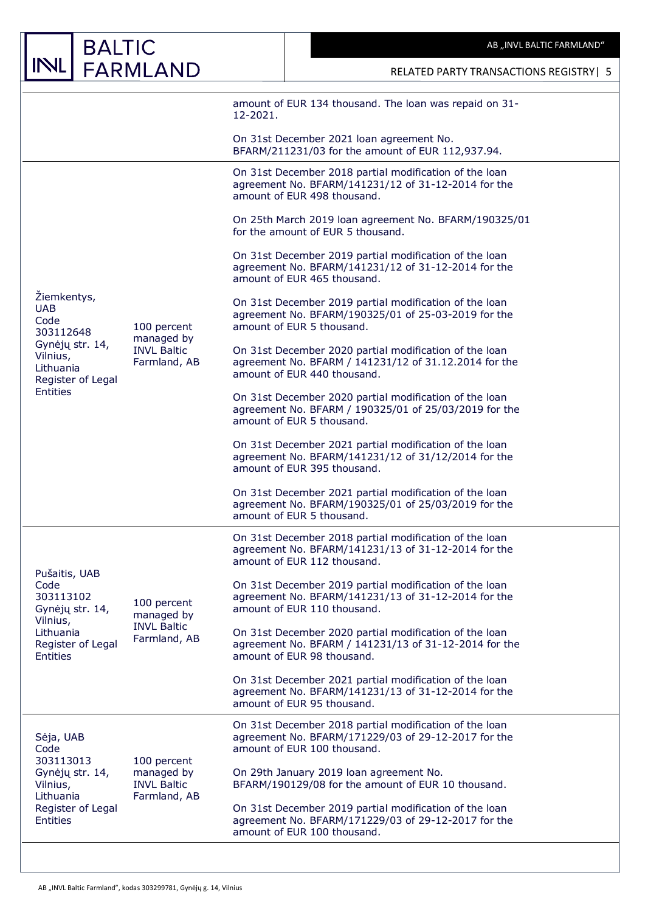| <b>BALTIC</b><br><b>FARMLAND</b>                                                                                                                                                                                                             |                                                                 |                                                                                                                                               | AB "INVL BALTIC FARMLAND"                                                                                                                      |  |  |  |
|----------------------------------------------------------------------------------------------------------------------------------------------------------------------------------------------------------------------------------------------|-----------------------------------------------------------------|-----------------------------------------------------------------------------------------------------------------------------------------------|------------------------------------------------------------------------------------------------------------------------------------------------|--|--|--|
|                                                                                                                                                                                                                                              |                                                                 |                                                                                                                                               | RELATED PARTY TRANSACTIONS REGISTRY   5                                                                                                        |  |  |  |
|                                                                                                                                                                                                                                              |                                                                 | 12-2021.                                                                                                                                      | amount of EUR 134 thousand. The loan was repaid on 31-                                                                                         |  |  |  |
|                                                                                                                                                                                                                                              |                                                                 |                                                                                                                                               | On 31st December 2021 Ioan agreement No.<br>BFARM/211231/03 for the amount of EUR 112,937.94.                                                  |  |  |  |
|                                                                                                                                                                                                                                              |                                                                 |                                                                                                                                               | On 31st December 2018 partial modification of the loan<br>agreement No. BFARM/141231/12 of 31-12-2014 for the<br>amount of EUR 498 thousand.   |  |  |  |
|                                                                                                                                                                                                                                              |                                                                 |                                                                                                                                               | On 25th March 2019 Ioan agreement No. BFARM/190325/01<br>for the amount of EUR 5 thousand.                                                     |  |  |  |
|                                                                                                                                                                                                                                              |                                                                 | On 31st December 2019 partial modification of the loan<br>agreement No. BFARM/141231/12 of 31-12-2014 for the<br>amount of EUR 465 thousand.  |                                                                                                                                                |  |  |  |
| Žiemkentys,<br><b>UAB</b><br>Code<br>303112648                                                                                                                                                                                               | 100 percent                                                     |                                                                                                                                               | On 31st December 2019 partial modification of the loan<br>agreement No. BFARM/190325/01 of 25-03-2019 for the<br>amount of EUR 5 thousand.     |  |  |  |
| Gynėjų str. 14,<br>Vilnius,<br>Lithuania<br>Register of Legal<br><b>Entities</b>                                                                                                                                                             | managed by<br><b>INVL Baltic</b><br>Farmland, AB                |                                                                                                                                               | On 31st December 2020 partial modification of the loan<br>agreement No. BFARM / 141231/12 of 31.12.2014 for the<br>amount of EUR 440 thousand. |  |  |  |
|                                                                                                                                                                                                                                              |                                                                 | On 31st December 2020 partial modification of the loan<br>agreement No. BFARM / 190325/01 of 25/03/2019 for the<br>amount of EUR 5 thousand.  |                                                                                                                                                |  |  |  |
|                                                                                                                                                                                                                                              |                                                                 | On 31st December 2021 partial modification of the loan<br>agreement No. BFARM/141231/12 of 31/12/2014 for the<br>amount of EUR 395 thousand.  |                                                                                                                                                |  |  |  |
|                                                                                                                                                                                                                                              |                                                                 |                                                                                                                                               | On 31st December 2021 partial modification of the loan<br>agreement No. BFARM/190325/01 of 25/03/2019 for the<br>amount of EUR 5 thousand.     |  |  |  |
| Pušaitis, UAB<br>Code<br>303113102<br>Gynėjų str. 14,<br>Vilnius,<br>Lithuania<br>Register of Legal<br><b>Entities</b><br>Sėja, UAB<br>Code<br>303113013<br>Gynėjų str. 14,<br>Vilnius,<br>Lithuania<br>Register of Legal<br><b>Entities</b> | 100 percent<br>managed by<br><b>INVL Baltic</b><br>Farmland, AB |                                                                                                                                               | On 31st December 2018 partial modification of the loan<br>agreement No. BFARM/141231/13 of 31-12-2014 for the<br>amount of EUR 112 thousand.   |  |  |  |
|                                                                                                                                                                                                                                              |                                                                 |                                                                                                                                               | On 31st December 2019 partial modification of the loan<br>agreement No. BFARM/141231/13 of 31-12-2014 for the<br>amount of EUR 110 thousand.   |  |  |  |
|                                                                                                                                                                                                                                              |                                                                 | On 31st December 2020 partial modification of the loan<br>agreement No. BFARM / 141231/13 of 31-12-2014 for the<br>amount of EUR 98 thousand. |                                                                                                                                                |  |  |  |
|                                                                                                                                                                                                                                              |                                                                 |                                                                                                                                               | On 31st December 2021 partial modification of the loan<br>agreement No. BFARM/141231/13 of 31-12-2014 for the<br>amount of EUR 95 thousand.    |  |  |  |
|                                                                                                                                                                                                                                              | 100 percent<br>managed by<br><b>INVL Baltic</b><br>Farmland, AB |                                                                                                                                               | On 31st December 2018 partial modification of the loan<br>agreement No. BFARM/171229/03 of 29-12-2017 for the<br>amount of EUR 100 thousand.   |  |  |  |
|                                                                                                                                                                                                                                              |                                                                 |                                                                                                                                               | On 29th January 2019 loan agreement No.<br>BFARM/190129/08 for the amount of EUR 10 thousand.                                                  |  |  |  |
|                                                                                                                                                                                                                                              |                                                                 |                                                                                                                                               | On 31st December 2019 partial modification of the loan<br>agreement No. BFARM/171229/03 of 29-12-2017 for the<br>amount of EUR 100 thousand.   |  |  |  |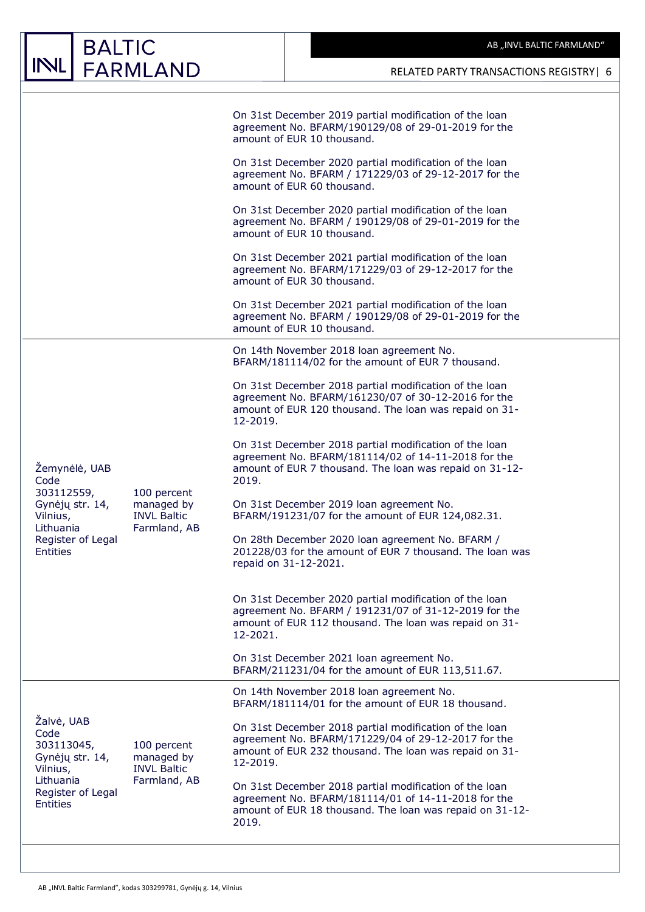|                                                                                                                         | <b>BALTIC</b>                                                   |                 |                                                                                                                                                                                                                                                                                                                                                                                                                                                                                                                                                                                              | AB "INVL BALTIC FARMLAND"                                                                                                                                                 |
|-------------------------------------------------------------------------------------------------------------------------|-----------------------------------------------------------------|-----------------|----------------------------------------------------------------------------------------------------------------------------------------------------------------------------------------------------------------------------------------------------------------------------------------------------------------------------------------------------------------------------------------------------------------------------------------------------------------------------------------------------------------------------------------------------------------------------------------------|---------------------------------------------------------------------------------------------------------------------------------------------------------------------------|
| INL                                                                                                                     |                                                                 | <b>FARMLAND</b> |                                                                                                                                                                                                                                                                                                                                                                                                                                                                                                                                                                                              | RELATED PARTY TRANSACTIONS REGISTRY   6                                                                                                                                   |
|                                                                                                                         |                                                                 |                 | On 31st December 2019 partial modification of the loan<br>agreement No. BFARM/190129/08 of 29-01-2019 for the<br>amount of EUR 10 thousand.<br>On 31st December 2020 partial modification of the loan<br>agreement No. BFARM / 171229/03 of 29-12-2017 for the<br>amount of EUR 60 thousand.<br>On 31st December 2020 partial modification of the loan<br>agreement No. BFARM / 190129/08 of 29-01-2019 for the<br>amount of EUR 10 thousand.<br>On 31st December 2021 partial modification of the loan<br>agreement No. BFARM/171229/03 of 29-12-2017 for the<br>amount of EUR 30 thousand. |                                                                                                                                                                           |
|                                                                                                                         |                                                                 |                 |                                                                                                                                                                                                                                                                                                                                                                                                                                                                                                                                                                                              | On 31st December 2021 partial modification of the loan<br>agreement No. BFARM / 190129/08 of 29-01-2019 for the<br>amount of EUR 10 thousand.                             |
|                                                                                                                         |                                                                 |                 |                                                                                                                                                                                                                                                                                                                                                                                                                                                                                                                                                                                              | On 14th November 2018 Ioan agreement No.<br>BFARM/181114/02 for the amount of EUR 7 thousand.                                                                             |
| Žemynėlė, UAB<br>Code<br>303112559,<br>Gynėjų str. 14,<br>Vilnius,<br>Lithuania<br>Register of Legal<br><b>Entities</b> | 100 percent<br>managed by<br><b>INVL Baltic</b><br>Farmland, AB | 12-2019.        | On 31st December 2018 partial modification of the loan<br>agreement No. BFARM/161230/07 of 30-12-2016 for the<br>amount of EUR 120 thousand. The loan was repaid on 31-                                                                                                                                                                                                                                                                                                                                                                                                                      |                                                                                                                                                                           |
|                                                                                                                         |                                                                 | 2019.           | On 31st December 2018 partial modification of the loan<br>agreement No. BFARM/181114/02 of 14-11-2018 for the<br>amount of EUR 7 thousand. The loan was repaid on 31-12-                                                                                                                                                                                                                                                                                                                                                                                                                     |                                                                                                                                                                           |
|                                                                                                                         |                                                                 |                 | On 31st December 2019 Ioan agreement No.<br>BFARM/191231/07 for the amount of EUR 124,082.31.                                                                                                                                                                                                                                                                                                                                                                                                                                                                                                |                                                                                                                                                                           |
|                                                                                                                         |                                                                 |                 | On 28th December 2020 Ioan agreement No. BFARM /<br>201228/03 for the amount of EUR 7 thousand. The loan was<br>repaid on 31-12-2021.                                                                                                                                                                                                                                                                                                                                                                                                                                                        |                                                                                                                                                                           |
|                                                                                                                         |                                                                 |                 | 12-2021.                                                                                                                                                                                                                                                                                                                                                                                                                                                                                                                                                                                     | On 31st December 2020 partial modification of the loan<br>agreement No. BFARM / 191231/07 of 31-12-2019 for the<br>amount of EUR 112 thousand. The loan was repaid on 31- |
|                                                                                                                         |                                                                 |                 |                                                                                                                                                                                                                                                                                                                                                                                                                                                                                                                                                                                              | On 31st December 2021 Ioan agreement No.<br>BFARM/211231/04 for the amount of EUR 113,511.67.                                                                             |
| Žalvė, UAB<br>Code<br>303113045,<br>Gynėjų str. 14,<br>Vilnius,<br>Lithuania<br>Register of Legal<br><b>Entities</b>    |                                                                 |                 |                                                                                                                                                                                                                                                                                                                                                                                                                                                                                                                                                                                              | On 14th November 2018 Ioan agreement No.<br>BFARM/181114/01 for the amount of EUR 18 thousand.                                                                            |
|                                                                                                                         | 100 percent<br>managed by<br><b>INVL Baltic</b><br>Farmland, AB | 12-2019.        | On 31st December 2018 partial modification of the loan<br>agreement No. BFARM/171229/04 of 29-12-2017 for the<br>amount of EUR 232 thousand. The loan was repaid on 31-                                                                                                                                                                                                                                                                                                                                                                                                                      |                                                                                                                                                                           |
|                                                                                                                         |                                                                 | 2019.           | On 31st December 2018 partial modification of the loan<br>agreement No. BFARM/181114/01 of 14-11-2018 for the<br>amount of EUR 18 thousand. The loan was repaid on 31-12-                                                                                                                                                                                                                                                                                                                                                                                                                    |                                                                                                                                                                           |